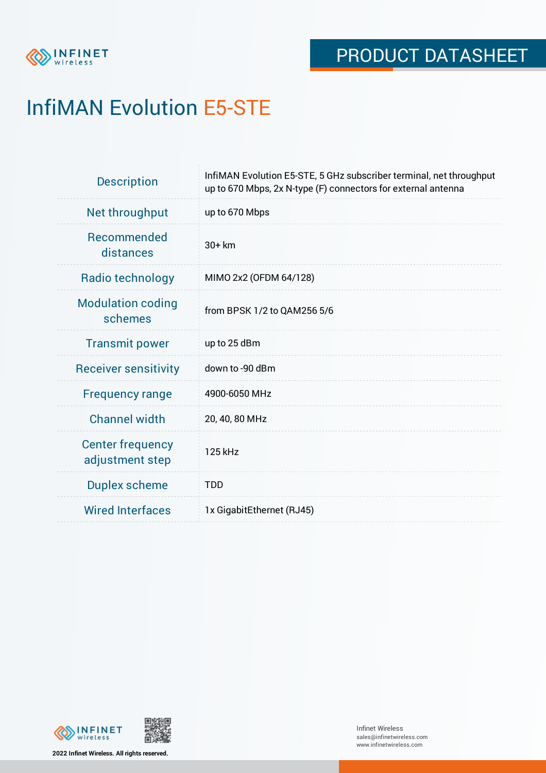

# InfiMAN Evolution E5-STE

| <b>Description</b>                         | InfiMAN Evolution E5-STE, 5 GHz subscriber terminal, net throughput<br>up to 670 Mbps, 2x N-type (F) connectors for external antenna |  |  |
|--------------------------------------------|--------------------------------------------------------------------------------------------------------------------------------------|--|--|
| Net throughput                             | up to 670 Mbps                                                                                                                       |  |  |
| <b>Recommended</b><br>distances            | $30+km$                                                                                                                              |  |  |
| Radio technology                           | MIMO 2x2 (OFDM 64/128)                                                                                                               |  |  |
| <b>Modulation coding</b><br>schemes        | from BPSK 1/2 to QAM256 5/6                                                                                                          |  |  |
| <b>Transmit power</b>                      | up to 25 dBm                                                                                                                         |  |  |
| <b>Receiver sensitivity</b>                | down to -90 dBm                                                                                                                      |  |  |
| <b>Frequency range</b>                     | 4900-6050 MHz                                                                                                                        |  |  |
| <b>Channel width</b>                       | 20, 40, 80 MHz                                                                                                                       |  |  |
| <b>Center frequency</b><br>adjustment step | 125 kHz                                                                                                                              |  |  |
| <b>Duplex scheme</b>                       | <b>TDD</b>                                                                                                                           |  |  |
| <b>Wired Interfaces</b>                    | 1x GigabitEthernet (RJ45)                                                                                                            |  |  |



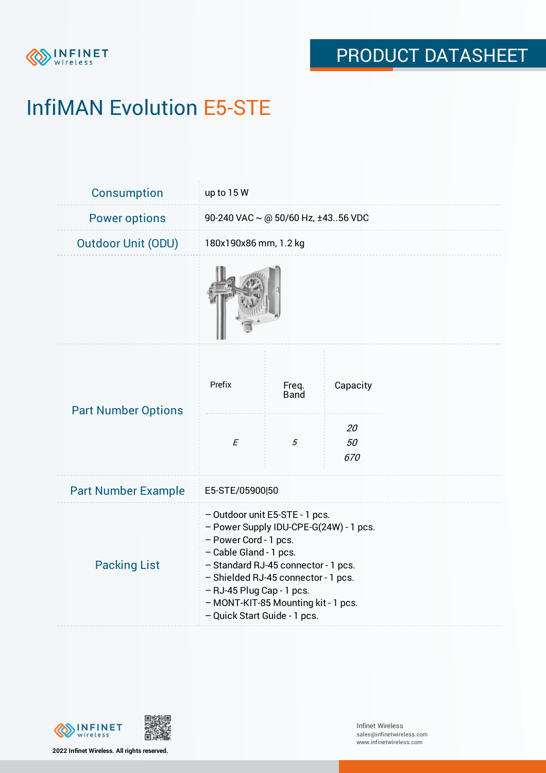

# InfiMAN Evolution E5-STE

| Consumption                | up to 15 W                                                                                                                                                                                                                                                                                                    |                      |                 |  |  |
|----------------------------|---------------------------------------------------------------------------------------------------------------------------------------------------------------------------------------------------------------------------------------------------------------------------------------------------------------|----------------------|-----------------|--|--|
| <b>Power options</b>       | 90-240 VAC ~ @ 50/60 Hz, ±4356 VDC                                                                                                                                                                                                                                                                            |                      |                 |  |  |
| <b>Outdoor Unit (ODU)</b>  | 180x190x86 mm, 1.2 kg                                                                                                                                                                                                                                                                                         |                      |                 |  |  |
|                            |                                                                                                                                                                                                                                                                                                               |                      |                 |  |  |
| <b>Part Number Options</b> | Prefix                                                                                                                                                                                                                                                                                                        | Freq.<br><b>Band</b> | Capacity        |  |  |
|                            | $\cal E$                                                                                                                                                                                                                                                                                                      | $\sqrt{5}$           | 20<br>50<br>670 |  |  |
| <b>Part Number Example</b> | E5-STE/05900 50                                                                                                                                                                                                                                                                                               |                      |                 |  |  |
| <b>Packing List</b>        | - Outdoor unit E5-STE - 1 pcs.<br>- Power Supply IDU-CPE-G(24W) - 1 pcs.<br>- Power Cord - 1 pcs.<br>- Cable Gland - 1 pcs.<br>- Standard RJ-45 connector - 1 pcs.<br>- Shielded RJ-45 connector - 1 pcs.<br>- RJ-45 Plug Cap - 1 pcs.<br>- MONT-KIT-85 Mounting kit - 1 pcs.<br>- Quick Start Guide - 1 pcs. |                      |                 |  |  |



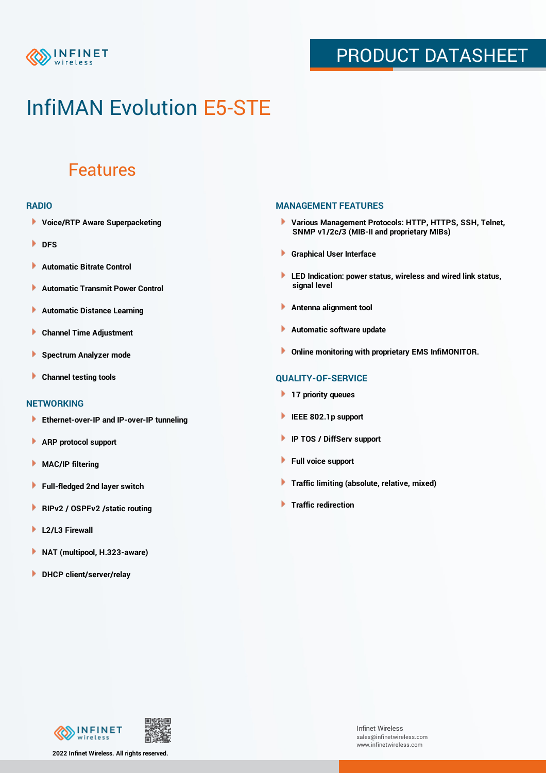

## PRODUCT DATASHEET

## InfiMAN Evolution E5-STE

### Features

#### **RADIO**

- **Voice/RTP Aware Superpacketing**
- **DFS**
- **Automatic Bitrate Control** Þ
- Þ **Automatic Transmit Power Control**
- Þ **Automatic Distance Learning**
- Þ **Channel Time Adjustment**
- Þ **Spectrum Analyzer mode**
- Þ **Channel testing tools**

### **NETWORKING**

- **Ethernet-over-IP and IP-over-IP tunneling**
- Þ **ARP protocol support**
- **MAC/IP filtering** Þ
- **Full-fledged 2nd layer switch**
- Þ **RIPv2 / OSPFv2 /static routing**
- ٠ **L2/L3 Firewall**
- × **NAT (multipool, H.323-aware)**
- **DHCP client/server/relay**

### **MANAGEMENT FEATURES**

- **Various Management Protocols: HTTP, HTTPS, SSH, Telnet, SNMP v1/2c/3 (MIB-II and proprietary MIBs)**
- **Graphical User Interface**
- **LED Indication: power status, wireless and wired link status, signal level**
- **Antenna alignment tool**
- ٠ **Automatic software update**
- **Online monitoring with proprietary EMS InfiMONITOR.**

### **QUALITY-OF-SERVICE**

- **17 priority queues**
- **IEEE 802.1p support**
- **IP TOS / DiffServ support**
- ٠ **Full voice support**
- **Traffic limiting (absolute, relative, mixed)** ٠
- **Traffic redirection**